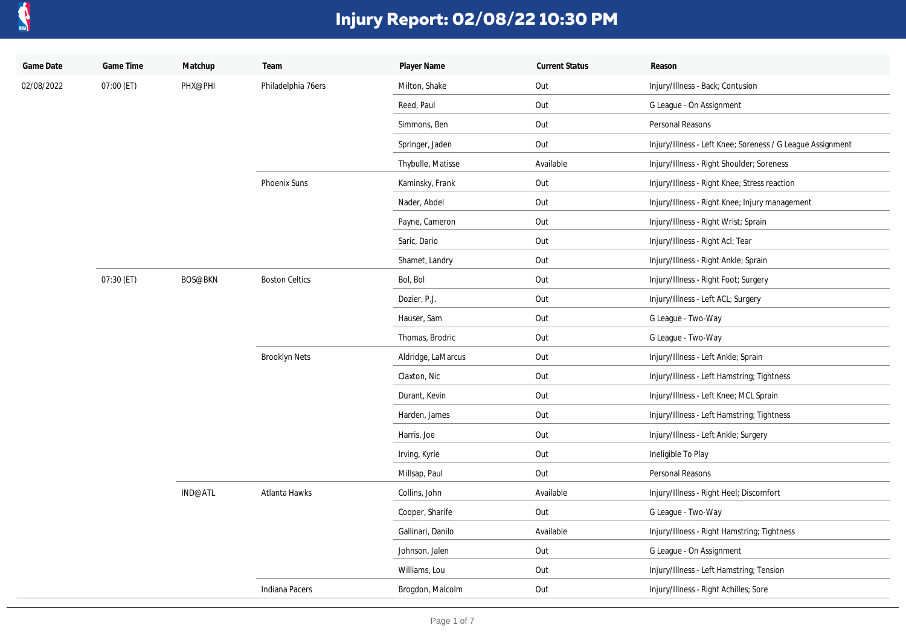

| Game Date  | Game Time  | Matchup                   | Team                  | Player Name        | <b>Current Status</b> | Reason                                                     |
|------------|------------|---------------------------|-----------------------|--------------------|-----------------------|------------------------------------------------------------|
| 02/08/2022 | 07:00 (ET) | PHX@PHI                   | Philadelphia 76ers    | Milton, Shake      | Out                   | Injury/Illness - Back; Contusion                           |
|            |            |                           |                       | Reed, Paul         | Out                   | G League - On Assignment                                   |
|            |            |                           |                       | Simmons, Ben       | Out                   | Personal Reasons                                           |
|            |            |                           |                       | Springer, Jaden    | Out                   | Injury/Illness - Left Knee; Soreness / G League Assignment |
|            |            |                           |                       | Thybulle, Matisse  | Available             | Injury/Illness - Right Shoulder; Soreness                  |
|            |            |                           | Phoenix Suns          | Kaminsky, Frank    | Out                   | Injury/Illness - Right Knee; Stress reaction               |
|            |            |                           |                       | Nader, Abdel       | Out                   | Injury/Illness - Right Knee; Injury management             |
|            |            |                           |                       | Payne, Cameron     | Out                   | Injury/Illness - Right Wrist; Sprain                       |
|            |            |                           |                       | Saric, Dario       | Out                   | Injury/Illness - Right Acl; Tear                           |
|            |            |                           |                       | Shamet, Landry     | Out                   | Injury/Illness - Right Ankle; Sprain                       |
|            | 07:30 (ET) | <b>BOS@BKN</b><br>IND@ATL | <b>Boston Celtics</b> | Bol, Bol           | Out                   | Injury/Illness - Right Foot; Surgery                       |
|            |            |                           |                       | Dozier, P.J.       | Out                   | Injury/Illness - Left ACL; Surgery                         |
|            |            |                           |                       | Hauser, Sam        | Out                   | G League - Two-Way                                         |
|            |            |                           |                       | Thomas, Brodric    | Out                   | G League - Two-Way                                         |
|            |            |                           | <b>Brooklyn Nets</b>  | Aldridge, LaMarcus | Out                   | Injury/Illness - Left Ankle; Sprain                        |
|            |            |                           |                       | Claxton, Nic       | Out                   | Injury/Illness - Left Hamstring; Tightness                 |
|            |            |                           |                       | Durant, Kevin      | Out                   | Injury/Illness - Left Knee; MCL Sprain                     |
|            |            |                           |                       | Harden, James      | Out                   | Injury/Illness - Left Hamstring; Tightness                 |
|            |            |                           |                       | Harris, Joe        | Out                   | Injury/Illness - Left Ankle; Surgery                       |
|            |            |                           |                       | Irving, Kyrie      | Out                   | Ineligible To Play                                         |
|            |            |                           |                       | Millsap, Paul      | Out                   | Personal Reasons                                           |
|            |            |                           | Atlanta Hawks         | Collins, John      | Available             | Injury/Illness - Right Heel; Discomfort                    |
|            |            |                           |                       | Cooper, Sharife    | Out                   | G League - Two-Way                                         |
|            |            |                           |                       | Gallinari, Danilo  | Available             | Injury/Illness - Right Hamstring; Tightness                |
|            |            |                           |                       | Johnson, Jalen     | Out                   | G League - On Assignment                                   |
|            |            |                           |                       | Williams, Lou      | Out                   | Injury/Illness - Left Hamstring; Tension                   |
|            |            |                           | Indiana Pacers        | Brogdon, Malcolm   | Out                   | Injury/Illness - Right Achilles; Sore                      |
|            |            |                           |                       |                    |                       |                                                            |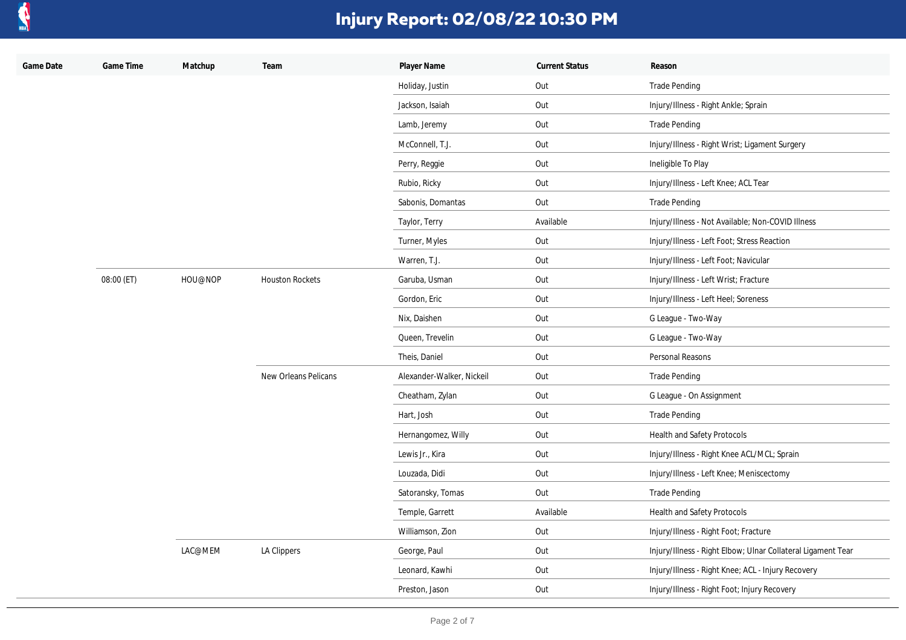

| Game Date | Game Time  | Matchup | Team                   | Player Name               | <b>Current Status</b> | Reason                                                       |
|-----------|------------|---------|------------------------|---------------------------|-----------------------|--------------------------------------------------------------|
|           |            |         |                        | Holiday, Justin           | Out                   | <b>Trade Pending</b>                                         |
|           |            |         |                        | Jackson, Isaiah           | Out                   | Injury/Illness - Right Ankle; Sprain                         |
|           |            |         |                        | Lamb, Jeremy              | Out                   | Trade Pending                                                |
|           |            |         |                        | McConnell, T.J.           | Out                   | Injury/Illness - Right Wrist; Ligament Surgery               |
|           |            |         |                        | Perry, Reggie             | Out                   | Ineligible To Play                                           |
|           |            |         |                        | Rubio, Ricky              | Out                   | Injury/Illness - Left Knee; ACL Tear                         |
|           |            |         |                        | Sabonis, Domantas         | Out                   | <b>Trade Pending</b>                                         |
|           |            |         |                        | Taylor, Terry             | Available             | Injury/Illness - Not Available; Non-COVID Illness            |
|           |            |         |                        | Turner, Myles             | Out                   | Injury/Illness - Left Foot; Stress Reaction                  |
|           |            |         |                        | Warren, T.J.              | Out                   | Injury/Illness - Left Foot; Navicular                        |
|           | 08:00 (ET) | HOU@NOP | <b>Houston Rockets</b> | Garuba, Usman             | Out                   | Injury/Illness - Left Wrist; Fracture                        |
|           |            |         |                        | Gordon, Eric              | Out                   | Injury/Illness - Left Heel; Soreness                         |
|           |            |         |                        | Nix, Daishen              | Out                   | G League - Two-Way                                           |
|           |            |         |                        | Queen, Trevelin           | Out                   | G League - Two-Way                                           |
|           |            |         |                        | Theis, Daniel             | Out                   | Personal Reasons                                             |
|           |            |         | New Orleans Pelicans   | Alexander-Walker, Nickeil | Out                   | <b>Trade Pending</b>                                         |
|           |            |         |                        | Cheatham, Zylan           | Out                   | G League - On Assignment                                     |
|           |            |         |                        | Hart, Josh                | Out                   | <b>Trade Pending</b>                                         |
|           |            |         |                        | Hernangomez, Willy        | Out                   | Health and Safety Protocols                                  |
|           |            |         |                        | Lewis Jr., Kira           | Out                   | Injury/Illness - Right Knee ACL/MCL; Sprain                  |
|           |            |         |                        | Louzada, Didi             | Out                   | Injury/Illness - Left Knee; Meniscectomy                     |
|           |            |         |                        | Satoransky, Tomas         | Out                   | <b>Trade Pending</b>                                         |
|           |            |         |                        | Temple, Garrett           | Available             | Health and Safety Protocols                                  |
|           |            |         |                        | Williamson, Zion          | Out                   | Injury/Illness - Right Foot; Fracture                        |
|           |            | LAC@MEM | LA Clippers            | George, Paul              | Out                   | Injury/Illness - Right Elbow; Ulnar Collateral Ligament Tear |
|           |            |         |                        | Leonard, Kawhi            | Out                   | Injury/Illness - Right Knee; ACL - Injury Recovery           |
|           |            |         |                        | Preston, Jason            | Out                   | Injury/Illness - Right Foot; Injury Recovery                 |
|           |            |         |                        |                           |                       |                                                              |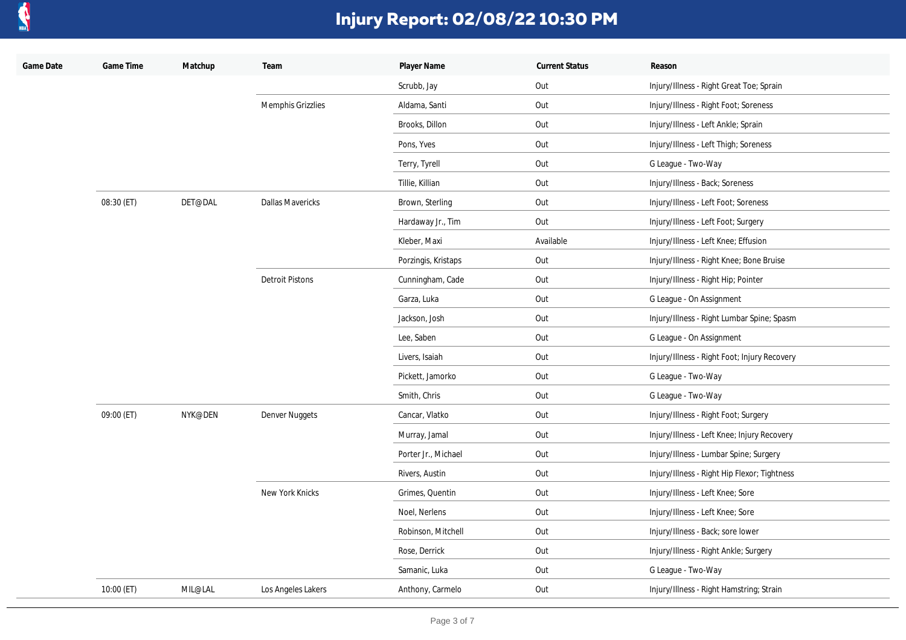

| Game Date | Game Time  | Matchup | Team                    | Player Name         | <b>Current Status</b> | Reason                                       |
|-----------|------------|---------|-------------------------|---------------------|-----------------------|----------------------------------------------|
|           |            |         |                         | Scrubb, Jay         | Out                   | Injury/Illness - Right Great Toe; Sprain     |
|           |            |         | Memphis Grizzlies       | Aldama, Santi       | Out                   | Injury/Illness - Right Foot; Soreness        |
|           |            |         |                         | Brooks, Dillon      | Out                   | Injury/Illness - Left Ankle; Sprain          |
|           |            |         |                         | Pons, Yves          | Out                   | Injury/Illness - Left Thigh; Soreness        |
|           |            |         |                         | Terry, Tyrell       | Out                   | G League - Two-Way                           |
|           |            |         |                         | Tillie, Killian     | Out                   | Injury/Illness - Back; Soreness              |
|           | 08:30 (ET) | DET@DAL | <b>Dallas Mavericks</b> | Brown, Sterling     | Out                   | Injury/Illness - Left Foot; Soreness         |
|           |            |         |                         | Hardaway Jr., Tim   | Out                   | Injury/Illness - Left Foot; Surgery          |
|           |            |         |                         | Kleber, Maxi        | Available             | Injury/Illness - Left Knee; Effusion         |
|           |            |         |                         | Porzingis, Kristaps | Out                   | Injury/Illness - Right Knee; Bone Bruise     |
|           |            |         | <b>Detroit Pistons</b>  | Cunningham, Cade    | Out                   | Injury/Illness - Right Hip; Pointer          |
|           |            |         |                         | Garza, Luka         | Out                   | G League - On Assignment                     |
|           |            |         |                         | Jackson, Josh       | Out                   | Injury/Illness - Right Lumbar Spine; Spasm   |
|           |            |         |                         | Lee, Saben          | Out                   | G League - On Assignment                     |
|           |            |         |                         | Livers, Isaiah      | Out                   | Injury/Illness - Right Foot; Injury Recovery |
|           |            |         |                         | Pickett, Jamorko    | Out                   | G League - Two-Way                           |
|           |            |         |                         | Smith, Chris        | Out                   | G League - Two-Way                           |
|           | 09:00 (ET) | NYK@DEN | Denver Nuggets          | Cancar, Vlatko      | Out                   | Injury/Illness - Right Foot; Surgery         |
|           |            |         |                         | Murray, Jamal       | Out                   | Injury/Illness - Left Knee; Injury Recovery  |
|           |            |         |                         | Porter Jr., Michael | Out                   | Injury/Illness - Lumbar Spine; Surgery       |
|           |            |         |                         | Rivers, Austin      | Out                   | Injury/Illness - Right Hip Flexor; Tightness |
|           |            |         | New York Knicks         | Grimes, Quentin     | Out                   | Injury/Illness - Left Knee; Sore             |
|           |            |         |                         | Noel, Nerlens       | Out                   | Injury/Illness - Left Knee; Sore             |
|           |            |         |                         | Robinson, Mitchell  | Out                   | Injury/Illness - Back; sore lower            |
|           |            |         |                         | Rose, Derrick       | Out                   | Injury/Illness - Right Ankle; Surgery        |
|           |            |         |                         | Samanic, Luka       | Out                   | G League - Two-Way                           |
|           | 10:00 (ET) | MIL@LAL | Los Angeles Lakers      | Anthony, Carmelo    | Out                   | Injury/Illness - Right Hamstring; Strain     |
|           |            |         |                         |                     |                       |                                              |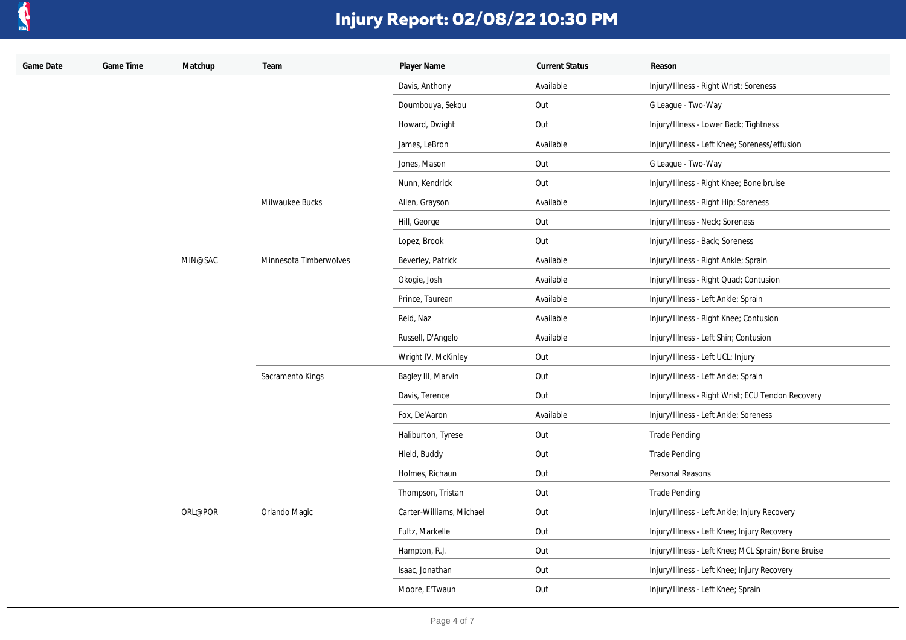

| Game Date | Game Time | Matchup | Team                   | Player Name              | <b>Current Status</b> | Reason                                             |
|-----------|-----------|---------|------------------------|--------------------------|-----------------------|----------------------------------------------------|
|           |           |         |                        | Davis, Anthony           | Available             | Injury/Illness - Right Wrist; Soreness             |
|           |           |         |                        | Doumbouya, Sekou         | Out                   | G League - Two-Way                                 |
|           |           |         |                        | Howard, Dwight           | Out                   | Injury/Illness - Lower Back; Tightness             |
|           |           |         |                        | James, LeBron            | Available             | Injury/Illness - Left Knee; Soreness/effusion      |
|           |           |         |                        | Jones, Mason             | Out                   | G League - Two-Way                                 |
|           |           |         |                        | Nunn, Kendrick           | Out                   | Injury/Illness - Right Knee; Bone bruise           |
|           |           |         | Milwaukee Bucks        | Allen, Grayson           | Available             | Injury/Illness - Right Hip; Soreness               |
|           |           |         |                        | Hill, George             | Out                   | Injury/Illness - Neck; Soreness                    |
|           |           |         |                        | Lopez, Brook             | Out                   | Injury/Illness - Back; Soreness                    |
|           |           | MIN@SAC | Minnesota Timberwolves | Beverley, Patrick        | Available             | Injury/Illness - Right Ankle; Sprain               |
|           |           |         |                        | Okogie, Josh             | Available             | Injury/Illness - Right Quad; Contusion             |
|           |           |         |                        | Prince, Taurean          | Available             | Injury/Illness - Left Ankle; Sprain                |
|           |           |         |                        | Reid, Naz                | Available             | Injury/Illness - Right Knee; Contusion             |
|           |           |         |                        | Russell, D'Angelo        | Available             | Injury/Illness - Left Shin; Contusion              |
|           |           |         |                        | Wright IV, McKinley      | Out                   | Injury/Illness - Left UCL; Injury                  |
|           |           |         | Sacramento Kings       | Bagley III, Marvin       | Out                   | Injury/Illness - Left Ankle; Sprain                |
|           |           |         |                        | Davis, Terence           | Out                   | Injury/Illness - Right Wrist; ECU Tendon Recovery  |
|           |           |         |                        | Fox, De'Aaron            | Available             | Injury/Illness - Left Ankle; Soreness              |
|           |           |         |                        | Haliburton, Tyrese       | Out                   | Trade Pending                                      |
|           |           |         |                        | Hield, Buddy             | Out                   | <b>Trade Pending</b>                               |
|           |           |         |                        | Holmes, Richaun          | Out                   | Personal Reasons                                   |
|           |           |         |                        | Thompson, Tristan        | Out                   | <b>Trade Pending</b>                               |
|           |           | ORL@POR | Orlando Magic          | Carter-Williams, Michael | Out                   | Injury/Illness - Left Ankle; Injury Recovery       |
|           |           |         |                        | Fultz, Markelle          | Out                   | Injury/Illness - Left Knee; Injury Recovery        |
|           |           |         |                        | Hampton, R.J.            | Out                   | Injury/Illness - Left Knee; MCL Sprain/Bone Bruise |
|           |           |         |                        | Isaac, Jonathan          | Out                   | Injury/Illness - Left Knee; Injury Recovery        |
|           |           |         |                        | Moore, E'Twaun           | Out                   | Injury/Illness - Left Knee; Sprain                 |
|           |           |         |                        |                          |                       |                                                    |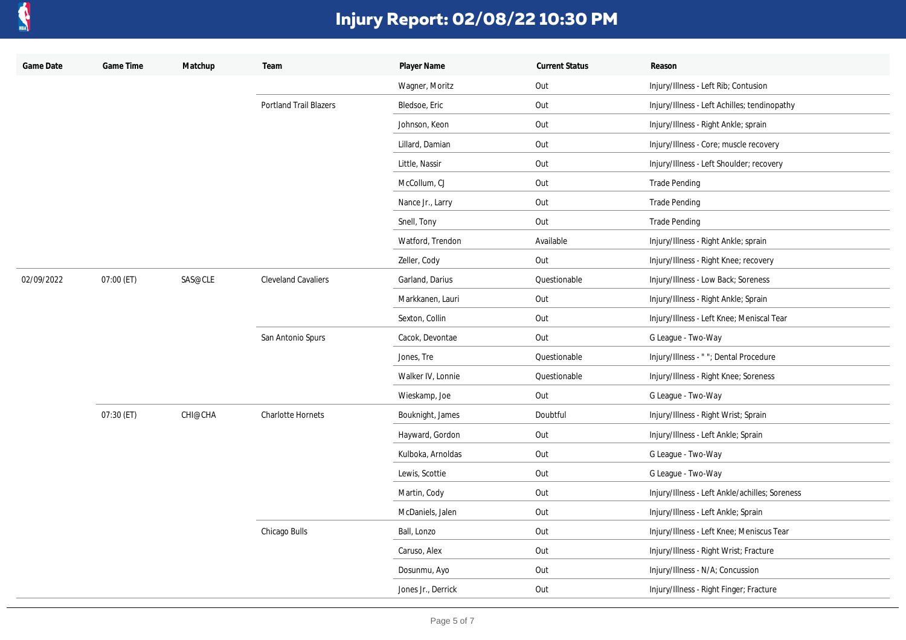

| Game Date  | Game Time  | Matchup | Team                          | Player Name        | <b>Current Status</b> | Reason                                         |
|------------|------------|---------|-------------------------------|--------------------|-----------------------|------------------------------------------------|
|            |            |         |                               | Wagner, Moritz     | Out                   | Injury/Illness - Left Rib; Contusion           |
|            |            |         | <b>Portland Trail Blazers</b> | Bledsoe, Eric      | Out                   | Injury/Illness - Left Achilles; tendinopathy   |
|            |            |         |                               | Johnson, Keon      | Out                   | Injury/Illness - Right Ankle; sprain           |
|            |            |         |                               | Lillard, Damian    | Out                   | Injury/Illness - Core; muscle recovery         |
|            |            |         |                               | Little, Nassir     | Out                   | Injury/Illness - Left Shoulder; recovery       |
|            |            |         |                               | McCollum, CJ       | Out                   | <b>Trade Pending</b>                           |
|            |            |         |                               | Nance Jr., Larry   | Out                   | <b>Trade Pending</b>                           |
|            |            |         |                               | Snell, Tony        | Out                   | <b>Trade Pending</b>                           |
|            |            |         |                               | Watford, Trendon   | Available             | Injury/Illness - Right Ankle; sprain           |
|            |            |         |                               | Zeller, Cody       | Out                   | Injury/Illness - Right Knee; recovery          |
| 02/09/2022 | 07:00 (ET) | SAS@CLE | <b>Cleveland Cavaliers</b>    | Garland, Darius    | Questionable          | Injury/Illness - Low Back; Soreness            |
|            |            |         |                               | Markkanen, Lauri   | Out                   | Injury/Illness - Right Ankle; Sprain           |
|            |            |         |                               | Sexton, Collin     | Out                   | Injury/Illness - Left Knee; Meniscal Tear      |
|            |            |         | San Antonio Spurs             | Cacok, Devontae    | Out                   | G League - Two-Way                             |
|            |            |         |                               | Jones, Tre         | Questionable          | Injury/Illness - ""; Dental Procedure          |
|            |            |         |                               | Walker IV, Lonnie  | Questionable          | Injury/Illness - Right Knee; Soreness          |
|            |            |         |                               | Wieskamp, Joe      | Out                   | G League - Two-Way                             |
|            | 07:30 (ET) | CHI@CHA | <b>Charlotte Hornets</b>      | Bouknight, James   | Doubtful              | Injury/Illness - Right Wrist; Sprain           |
|            |            |         |                               | Hayward, Gordon    | Out                   | Injury/Illness - Left Ankle; Sprain            |
|            |            |         |                               | Kulboka, Arnoldas  | Out                   | G League - Two-Way                             |
|            |            |         |                               | Lewis, Scottie     | Out                   | G League - Two-Way                             |
|            |            |         |                               | Martin, Cody       | Out                   | Injury/Illness - Left Ankle/achilles; Soreness |
|            |            |         |                               | McDaniels, Jalen   | Out                   | Injury/Illness - Left Ankle; Sprain            |
|            |            |         | Chicago Bulls                 | Ball, Lonzo        | Out                   | Injury/Illness - Left Knee; Meniscus Tear      |
|            |            |         |                               | Caruso, Alex       | Out                   | Injury/Illness - Right Wrist; Fracture         |
|            |            |         |                               | Dosunmu, Ayo       | Out                   | Injury/Illness - N/A; Concussion               |
|            |            |         |                               | Jones Jr., Derrick | Out                   | Injury/Illness - Right Finger; Fracture        |
|            |            |         |                               |                    |                       |                                                |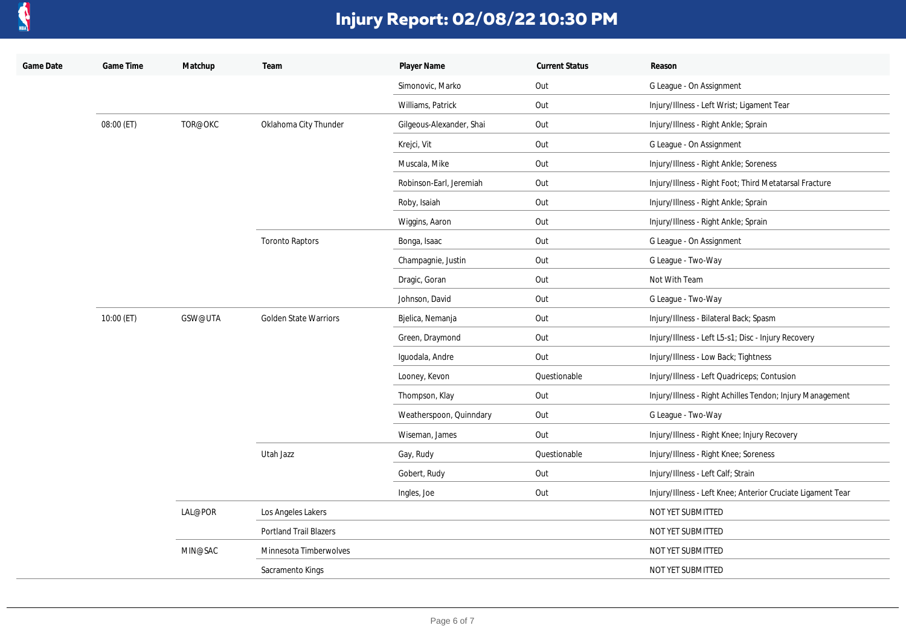

| Game Date | Game Time  | Matchup            | Team                                      | Player Name              | <b>Current Status</b> | Reason                                                      |
|-----------|------------|--------------------|-------------------------------------------|--------------------------|-----------------------|-------------------------------------------------------------|
|           |            |                    |                                           | Simonovic, Marko         | Out                   | G League - On Assignment                                    |
|           |            |                    |                                           | Williams, Patrick        | Out                   | Injury/Illness - Left Wrist; Ligament Tear                  |
|           | 08:00 (ET) | TOR@OKC            | Oklahoma City Thunder                     | Gilgeous-Alexander, Shai | Out                   | Injury/Illness - Right Ankle; Sprain                        |
|           |            |                    |                                           | Krejci, Vit              | Out                   | G League - On Assignment                                    |
|           |            |                    |                                           | Muscala, Mike            | Out                   | Injury/Illness - Right Ankle; Soreness                      |
|           |            |                    |                                           | Robinson-Earl, Jeremiah  | Out                   | Injury/Illness - Right Foot; Third Metatarsal Fracture      |
|           |            |                    |                                           | Roby, Isaiah             | Out                   | Injury/Illness - Right Ankle; Sprain                        |
|           |            |                    |                                           | Wiggins, Aaron           | Out                   | Injury/Illness - Right Ankle; Sprain                        |
|           |            |                    | <b>Toronto Raptors</b>                    | Bonga, Isaac             | Out                   | G League - On Assignment                                    |
|           |            |                    |                                           | Champagnie, Justin       | Out                   | G League - Two-Way                                          |
|           |            |                    |                                           | Dragic, Goran            | Out                   | Not With Team                                               |
|           |            |                    |                                           | Johnson, David           | Out                   | G League - Two-Way                                          |
|           | 10:00 (ET) | GSW@UTA<br>LAL@POR | <b>Golden State Warriors</b><br>Utah Jazz | Bjelica, Nemanja         | Out                   | Injury/Illness - Bilateral Back; Spasm                      |
|           |            |                    |                                           | Green, Draymond          | Out                   | Injury/Illness - Left L5-s1; Disc - Injury Recovery         |
|           |            |                    |                                           | Iguodala, Andre          | Out                   | Injury/Illness - Low Back; Tightness                        |
|           |            |                    |                                           | Looney, Kevon            | Questionable          | Injury/Illness - Left Quadriceps; Contusion                 |
|           |            |                    |                                           | Thompson, Klay           | Out                   | Injury/Illness - Right Achilles Tendon; Injury Management   |
|           |            |                    |                                           | Weatherspoon, Quinndary  | Out                   | G League - Two-Way                                          |
|           |            |                    |                                           | Wiseman, James           | Out                   | Injury/Illness - Right Knee; Injury Recovery                |
|           |            |                    |                                           | Gay, Rudy                | Questionable          | Injury/Illness - Right Knee; Soreness                       |
|           |            |                    |                                           | Gobert, Rudy             | Out                   | Injury/Illness - Left Calf; Strain                          |
|           |            |                    |                                           | Ingles, Joe              | Out                   | Injury/Illness - Left Knee; Anterior Cruciate Ligament Tear |
|           |            |                    | Los Angeles Lakers                        |                          |                       | NOT YET SUBMITTED                                           |
|           |            |                    | <b>Portland Trail Blazers</b>             |                          |                       | NOT YET SUBMITTED                                           |
|           |            | MIN@SAC            | Minnesota Timberwolves                    |                          |                       | NOT YET SUBMITTED                                           |
|           |            |                    | Sacramento Kings                          |                          |                       | NOT YET SUBMITTED                                           |
|           |            |                    |                                           |                          |                       |                                                             |